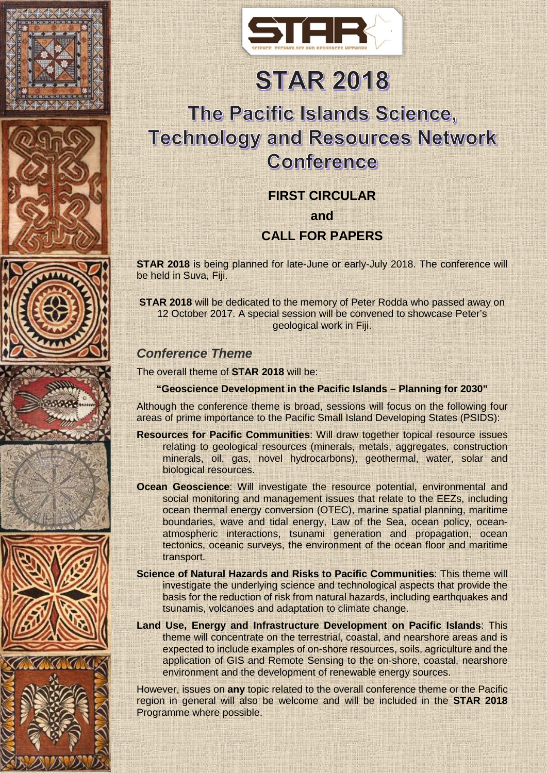















# **STAR 2018**

# The Pacific Islands Science, **Technology and Resources Network** Conference

#### **FIRST CIRCULAR**

**and**

## **CALL FOR PAPERS**

**STAR 2018** is being planned for late-June or early-July 2018. The conference will be held in Suva, Fiji.

**STAR 2018** will be dedicated to the memory of Peter Rodda who passed away on 12 October 2017. A special session will be convened to showcase Peter's geological work in Fiji.

#### *Conference Theme*

The overall theme of **STAR 2018** will be:

#### **"Geoscience Development in the Pacific Islands – Planning for 2030"**

Although the conference theme is broad, sessions will focus on the following four areas of prime importance to the Pacific Small Island Developing States (PSIDS):

- **Resources for Pacific Communities**: Will draw together topical resource issues relating to geological resources (minerals, metals, aggregates, construction minerals, oil, gas, novel hydrocarbons), geothermal, water, solar and biological resources.
- **Ocean Geoscience**: Will investigate the resource potential, environmental and social monitoring and management issues that relate to the EEZs, including ocean thermal energy conversion (OTEC), marine spatial planning, maritime boundaries, wave and tidal energy, Law of the Sea, ocean policy, oceanatmospheric interactions, tsunami generation and propagation, ocean tectonics, oceanic surveys, the environment of the ocean floor and maritime transport.
- **Science of Natural Hazards and Risks to Pacific Communities**: This theme will investigate the underlying science and technological aspects that provide the basis for the reduction of risk from natural hazards, including earthquakes and tsunamis, volcanoes and adaptation to climate change.
- **Land Use, Energy and Infrastructure Development on Pacific Islands**: This theme will concentrate on the terrestrial, coastal, and nearshore areas and is expected to include examples of on-shore resources, soils, agriculture and the application of GIS and Remote Sensing to the on-shore, coastal, nearshore environment and the development of renewable energy sources.

However, issues on **any** topic related to the overall conference theme or the Pacific region in general will also be welcome and will be included in the **STAR 2018** Programme where possible.